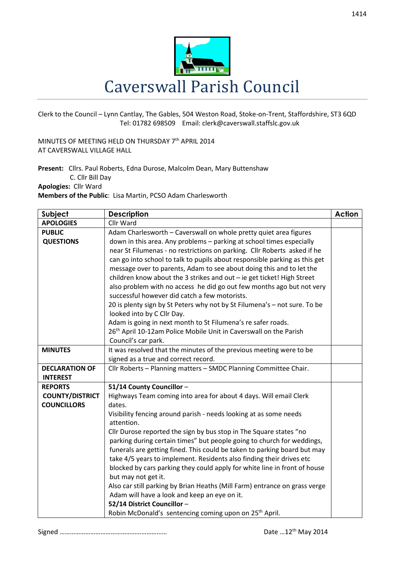

Clerk to the Council – Lynn Cantlay, The Gables, 504 Weston Road, Stoke-on-Trent, Staffordshire, ST3 6QD Tel: 01782 698509 Email: clerk@caverswall.staffslc.gov.uk

MINUTES OF MEETING HELD ON THURSDAY 7<sup>th</sup> APRIL 2014 AT CAVERSWALL VILLAGE HALL

**Present:** Cllrs. Paul Roberts, Edna Durose, Malcolm Dean, Mary Buttenshaw C. Cllr Bill Day **Apologies:** Cllr Ward

**Members of the Public**: Lisa Martin, PCSO Adam Charlesworth

| Subject                | <b>Description</b>                                                                                      | <b>Action</b> |
|------------------------|---------------------------------------------------------------------------------------------------------|---------------|
| <b>APOLOGIES</b>       | Cllr Ward                                                                                               |               |
| <b>PUBLIC</b>          | Adam Charlesworth - Caverswall on whole pretty quiet area figures                                       |               |
| <b>QUESTIONS</b>       | down in this area. Any problems - parking at school times especially                                    |               |
|                        | near St Filumenas - no restrictions on parking. Cllr Roberts asked if he                                |               |
|                        | can go into school to talk to pupils about responsible parking as this get                              |               |
|                        | message over to parents, Adam to see about doing this and to let the                                    |               |
|                        | children know about the 3 strikes and out - ie get ticket! High Street                                  |               |
|                        | also problem with no access he did go out few months ago but not very                                   |               |
|                        | successful however did catch a few motorists.                                                           |               |
|                        | 20 is plenty sign by St Peters why not by St Filumena's - not sure. To be<br>looked into by C Cllr Day. |               |
|                        | Adam is going in next month to St Filumena's re safer roads.                                            |               |
|                        | 26 <sup>th</sup> April 10-12am Police Mobile Unit in Caverswall on the Parish                           |               |
|                        | Council's car park.                                                                                     |               |
| <b>MINUTES</b>         | It was resolved that the minutes of the previous meeting were to be                                     |               |
|                        | signed as a true and correct record.                                                                    |               |
| <b>DECLARATION OF</b>  | Cllr Roberts - Planning matters - SMDC Planning Committee Chair.                                        |               |
| <b>INTEREST</b>        |                                                                                                         |               |
| <b>REPORTS</b>         | 51/14 County Councillor -                                                                               |               |
| <b>COUNTY/DISTRICT</b> | Highways Team coming into area for about 4 days. Will email Clerk                                       |               |
| <b>COUNCILLORS</b>     | dates.                                                                                                  |               |
|                        | Visibility fencing around parish - needs looking at as some needs<br>attention.                         |               |
|                        | Cllr Durose reported the sign by bus stop in The Square states "no                                      |               |
|                        | parking during certain times" but people going to church for weddings,                                  |               |
|                        | funerals are getting fined. This could be taken to parking board but may                                |               |
|                        | take 4/5 years to implement. Residents also finding their drives etc                                    |               |
|                        | blocked by cars parking they could apply for white line in front of house                               |               |
|                        | but may not get it.                                                                                     |               |
|                        | Also car still parking by Brian Heaths (Mill Farm) entrance on grass verge                              |               |
|                        | Adam will have a look and keep an eye on it.                                                            |               |
|                        | 52/14 District Councillor-                                                                              |               |
|                        | Robin McDonald's sentencing coming upon on 25 <sup>th</sup> April.                                      |               |

Signed ……………………………………………………… Date …12th May 2014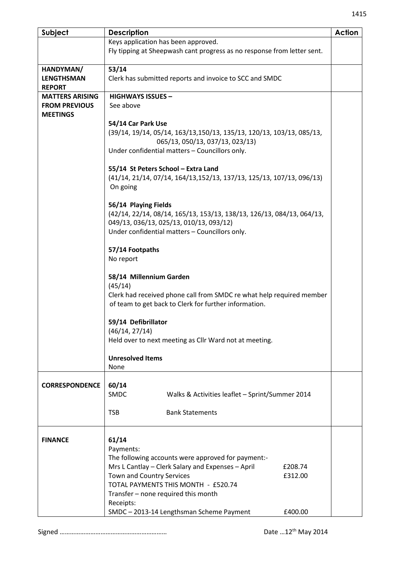| Subject                | <b>Description</b>                                                                                               | <b>Action</b> |
|------------------------|------------------------------------------------------------------------------------------------------------------|---------------|
|                        | Keys application has been approved.                                                                              |               |
|                        | Fly tipping at Sheepwash cant progress as no response from letter sent.                                          |               |
|                        |                                                                                                                  |               |
| HANDYMAN/              | 53/14                                                                                                            |               |
| <b>LENGTHSMAN</b>      | Clerk has submitted reports and invoice to SCC and SMDC                                                          |               |
| <b>REPORT</b>          |                                                                                                                  |               |
| <b>MATTERS ARISING</b> | <b>HIGHWAYS ISSUES -</b>                                                                                         |               |
| <b>FROM PREVIOUS</b>   | See above                                                                                                        |               |
| <b>MEETINGS</b>        |                                                                                                                  |               |
|                        | 54/14 Car Park Use                                                                                               |               |
|                        | (39/14, 19/14, 05/14, 163/13, 150/13, 135/13, 120/13, 103/13, 085/13,                                            |               |
|                        | 065/13, 050/13, 037/13, 023/13)                                                                                  |               |
|                        | Under confidential matters - Councillors only.                                                                   |               |
|                        |                                                                                                                  |               |
|                        | 55/14 St Peters School - Extra Land                                                                              |               |
|                        | (41/14, 21/14, 07/14, 164/13, 152/13, 137/13, 125/13, 107/13, 096/13)                                            |               |
|                        | On going                                                                                                         |               |
|                        |                                                                                                                  |               |
|                        | 56/14 Playing Fields                                                                                             |               |
|                        | (42/14, 22/14, 08/14, 165/13, 153/13, 138/13, 126/13, 084/13, 064/13,<br>049/13, 036/13, 025/13, 010/13, 093/12) |               |
|                        | Under confidential matters - Councillors only.                                                                   |               |
|                        |                                                                                                                  |               |
|                        | 57/14 Footpaths                                                                                                  |               |
|                        | No report                                                                                                        |               |
|                        |                                                                                                                  |               |
|                        | 58/14 Millennium Garden                                                                                          |               |
|                        | (45/14)                                                                                                          |               |
|                        | Clerk had received phone call from SMDC re what help required member                                             |               |
|                        | of team to get back to Clerk for further information.                                                            |               |
|                        |                                                                                                                  |               |
|                        | 59/14 Defibrillator                                                                                              |               |
|                        | (46/14, 27/14)                                                                                                   |               |
|                        | Held over to next meeting as Cllr Ward not at meeting.                                                           |               |
|                        |                                                                                                                  |               |
|                        | <b>Unresolved Items</b>                                                                                          |               |
|                        | None                                                                                                             |               |
|                        |                                                                                                                  |               |
| <b>CORRESPONDENCE</b>  | 60/14                                                                                                            |               |
|                        | SMDC<br>Walks & Activities leaflet - Sprint/Summer 2014                                                          |               |
|                        |                                                                                                                  |               |
|                        | <b>TSB</b><br><b>Bank Statements</b>                                                                             |               |
|                        |                                                                                                                  |               |
| <b>FINANCE</b>         | 61/14                                                                                                            |               |
|                        | Payments:                                                                                                        |               |
|                        | The following accounts were approved for payment:-                                                               |               |
|                        | Mrs L Cantlay - Clerk Salary and Expenses - April<br>£208.74                                                     |               |
|                        | Town and Country Services<br>£312.00                                                                             |               |
|                        | TOTAL PAYMENTS THIS MONTH - £520.74                                                                              |               |
|                        | Transfer – none required this month                                                                              |               |
|                        | Receipts:                                                                                                        |               |
|                        | SMDC-2013-14 Lengthsman Scheme Payment<br>£400.00                                                                |               |

Signed ……………………………………………………… Date …12th May 2014